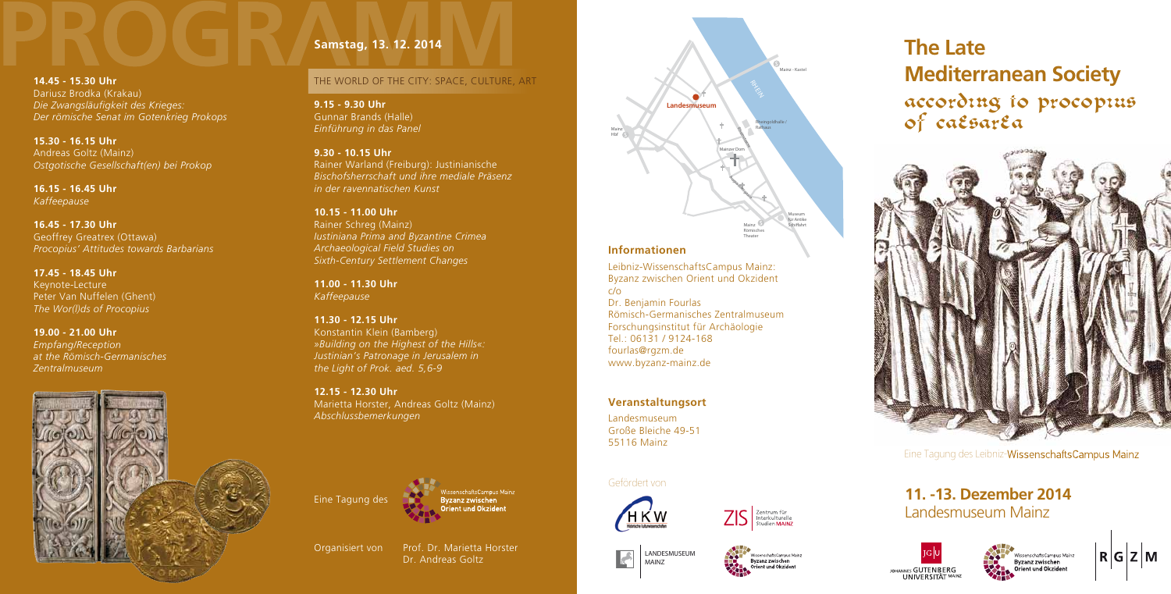

# **The Late Mediterranean Society** according to procopius<br>of caesarea



Eine Tagung des Leibniz-WissenschaftsCampus Mainz





### **11. -13. Dezember 2014** Landesmuseum Mainz





 $R|G|Z|M$ 

#### **Informationen**

Leibniz-WissenschaftsCampus Mainz: Byzanz zwischen Orient und Okzident c/o Dr. Benjamin Fourlas Römisch-Germanisches Zentralmuseum Forschungsinstitut für Archäologie Tel.: 06131 / 9124-168 fourlas@rgzm.de www.byzanz-mainz.de

#### **Veranstaltungsort**

Landesmuseum Große Bleiche 49-51 55116 Mainz

#### Gefördert von





#### **14.45 - 15.30 Uhr**  Dariusz Brodka (Krakau) *Die Zwangsläufigkeit des Krieges:*

*Der römische Senat im Gotenkrieg Prokops*

**15.30 - 16.15 Uhr**  Andreas Goltz (Mainz) *Ostgotische Gesellschaft(en) bei Prokop*

**16.15 - 16.45 Uhr** *Kaffeepause*

**16.45 - 17.30 Uhr**  Geoffrey Greatrex (Ottawa) *Procopius' Attitudes towards Barbarians*

> Organisiert von Prof. Dr. Marietta Horster Dr. Andreas Goltz

**17.45 - 18.45 Uhr** Keynote-Lecture Peter Van Nuffelen (Ghent) *The Wor(l)ds of Procopius*

**19.00 - 21.00 Uhr**  *Empfang/Reception at the Römisch-Germanisches Zentralmuseum*



#### **Samstag, 13. 12. 2014**

#### THE WORLD OF THE CITY: SPACE, CULTURE, ART

**9.15 - 9.30 Uhr**  Gunnar Brands (Halle) *Einführung in das Panel*

**9.30 - 10.15 Uhr** Rainer Warland (Freiburg): Justinianische *Bischofsherrschaft und ihre mediale Präsenz in der ravennatischen Kunst*

**10.15 - 11.00 Uhr** Rainer Schreg (Mainz) *Iustiniana Prima and Byzantine Crimea Archaeological Field Studies on Sixth-Century Settlement Changes*

**11.00 - 11.30 Uhr**  *Kaffeepause*

**11.30 - 12.15 Uhr**  Konstantin Klein (Bamberg) *»Building on the Highest of the Hills «: Justinian's Patronage in Jerusalem in the Light of Prok. aed. 5,6-9*

**12.15 - 12.30 Uhr**  Marietta Horster, Andreas Goltz (Mainz) *Abschlussbemerkungen*